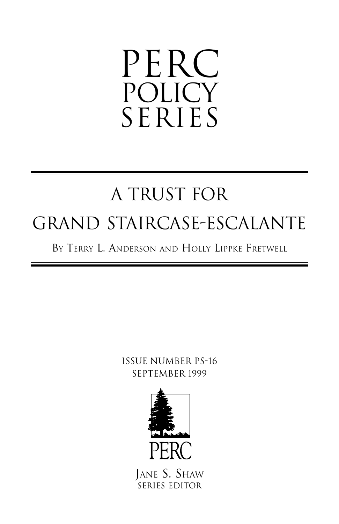# PERC **POLICY** Series

# A TRUST FOR Grand Staircase-Escalante

BY TERRY L. ANDERSON AND HOLLY LIPPKE FRETWELL

Issue Number PS-16 September 1999



JANE S. SHAW SERIES EDITOR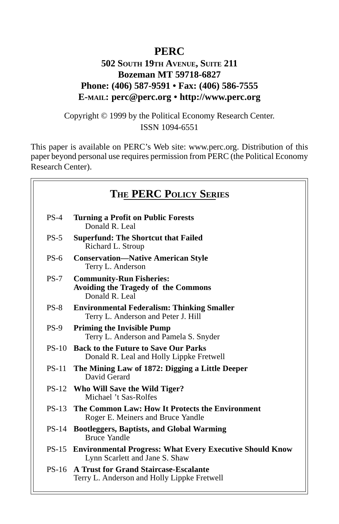### **PERC**

#### **502 SOUTH 19TH AVENUE, SUITE 211 Bozeman MT 59718-6827 Phone: (406) 587-9591 • Fax: (406) 586-7555 E-MAIL: perc@perc.org • http://www.perc.org**

Copyright © 1999 by the Political Economy Research Center. ISSN 1094-6551

This paper is available on PERC's Web site: www.perc.org. Distribution of this paper beyond personal use requires permission from PERC (the Political Economy Research Center).

| THE PERC POLICY SERIES |                                                                                                         |  |  |  |
|------------------------|---------------------------------------------------------------------------------------------------------|--|--|--|
| $PS-4$                 | <b>Turning a Profit on Public Forests</b><br>Donald R. Leal                                             |  |  |  |
| $PS-5$                 | <b>Superfund: The Shortcut that Failed</b><br>Richard L. Stroup                                         |  |  |  |
| $PS-6$                 | <b>Conservation-Native American Style</b><br>Terry L. Anderson                                          |  |  |  |
| $PS-7$                 | <b>Community-Run Fisheries:</b><br><b>Avoiding the Tragedy of the Commons</b><br>Donald R. Leal         |  |  |  |
| $PS-8$                 | <b>Environmental Federalism: Thinking Smaller</b><br>Terry L. Anderson and Peter J. Hill                |  |  |  |
| $PS-9$                 | <b>Priming the Invisible Pump</b><br>Terry L. Anderson and Pamela S. Snyder                             |  |  |  |
|                        | <b>PS-10</b> Back to the Future to Save Our Parks<br>Donald R. Leal and Holly Lippke Fretwell           |  |  |  |
| $PS-11$                | The Mining Law of 1872: Digging a Little Deeper<br>David Gerard                                         |  |  |  |
|                        | PS-12 Who Will Save the Wild Tiger?<br>Michael 't Sas-Rolfes                                            |  |  |  |
|                        | <b>PS-13</b> The Common Law: How It Protects the Environment<br>Roger E. Meiners and Bruce Yandle       |  |  |  |
|                        | <b>PS-14</b> Bootleggers, Baptists, and Global Warming<br><b>Bruce Yandle</b>                           |  |  |  |
|                        | <b>PS-15</b> Environmental Progress: What Every Executive Should Know<br>Lynn Scarlett and Jane S. Shaw |  |  |  |
| PS-16                  | A Trust for Grand Staircase-Escalante<br>Terry L. Anderson and Holly Lippke Fretwell                    |  |  |  |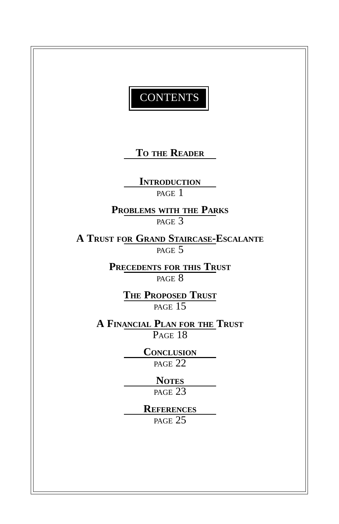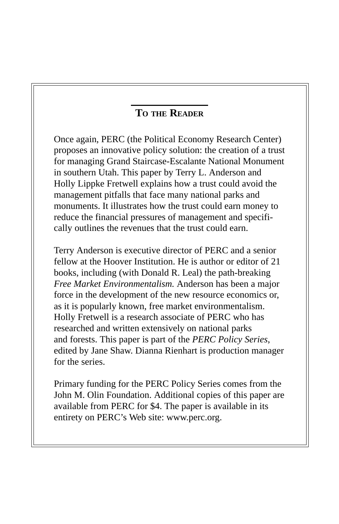# **TO THE READER**

Once again, PERC (the Political Economy Research Center) proposes an innovative policy solution: the creation of a trust for managing Grand Staircase-Escalante National Monument in southern Utah. This paper by Terry L. Anderson and Holly Lippke Fretwell explains how a trust could avoid the management pitfalls that face many national parks and monuments. It illustrates how the trust could earn money to reduce the financial pressures of management and specifically outlines the revenues that the trust could earn.

Terry Anderson is executive director of PERC and a senior fellow at the Hoover Institution. He is author or editor of 21 books, including (with Donald R. Leal) the path-breaking *Free Market Environmentalism.* Anderson has been a major force in the development of the new resource economics or, as it is popularly known, free market environmentalism. Holly Fretwell is a research associate of PERC who has researched and written extensively on national parks and forests. This paper is part of the *PERC Policy Series*, edited by Jane Shaw. Dianna Rienhart is production manager for the series.

Primary funding for the PERC Policy Series comes from the John M. Olin Foundation. Additional copies of this paper are available from PERC for \$4. The paper is available in its entirety on PERC's Web site: www.perc.org.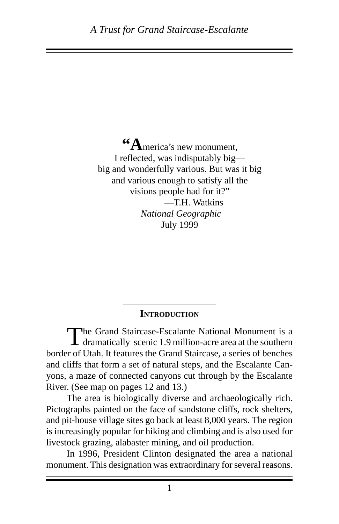**A**merica's new monument, I reflected, was indisputably big big and wonderfully various. But was it big and various enough to satisfy all the visions people had for it?" —T.H. Watkins  *National Geographic* July 1999

#### **INTRODUCTION**

The Grand Staircase-Escalante National Monument is a dramatically scenic 1.9 million-acre area at the southern border of Utah. It features the Grand Staircase, a series of benches and cliffs that form a set of natural steps, and the Escalante Canyons, a maze of connected canyons cut through by the Escalante River. (See map on pages 12 and 13.)

The area is biologically diverse and archaeologically rich. Pictographs painted on the face of sandstone cliffs, rock shelters, and pit-house village sites go back at least 8,000 years. The region is increasingly popular for hiking and climbing and is also used for livestock grazing, alabaster mining, and oil production.

In 1996, President Clinton designated the area a national monument. This designation was extraordinary for several reasons.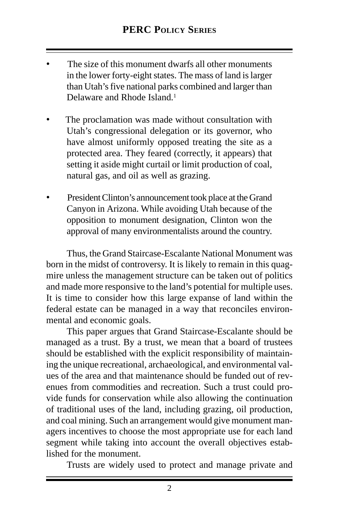- The size of this monument dwarfs all other monuments in the lower forty-eight states. The mass of land is larger than Utah's five national parks combined and larger than Delaware and Rhode Island.<sup>1</sup>
- The proclamation was made without consultation with Utah's congressional delegation or its governor, who have almost uniformly opposed treating the site as a protected area. They feared (correctly, it appears) that setting it aside might curtail or limit production of coal, natural gas, and oil as well as grazing.
- President Clinton's announcement took place at the Grand Canyon in Arizona. While avoiding Utah because of the opposition to monument designation, Clinton won the approval of many environmentalists around the country.

Thus, the Grand Staircase-Escalante National Monument was born in the midst of controversy. It is likely to remain in this quagmire unless the management structure can be taken out of politics and made more responsive to the land's potential for multiple uses. It is time to consider how this large expanse of land within the federal estate can be managed in a way that reconciles environmental and economic goals.

This paper argues that Grand Staircase-Escalante should be managed as a trust. By a trust, we mean that a board of trustees should be established with the explicit responsibility of maintaining the unique recreational, archaeological, and environmental values of the area and that maintenance should be funded out of revenues from commodities and recreation. Such a trust could provide funds for conservation while also allowing the continuation of traditional uses of the land, including grazing, oil production, and coal mining. Such an arrangement would give monument managers incentives to choose the most appropriate use for each land segment while taking into account the overall objectives established for the monument.

Trusts are widely used to protect and manage private and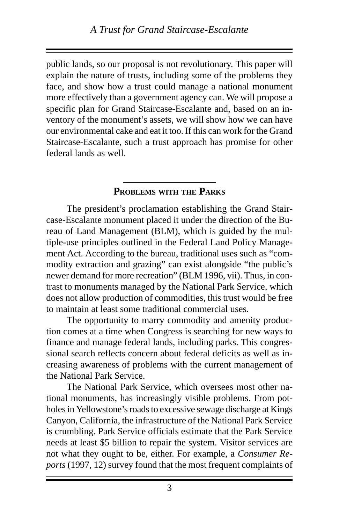public lands, so our proposal is not revolutionary. This paper will explain the nature of trusts, including some of the problems they face, and show how a trust could manage a national monument more effectively than a government agency can. We will propose a specific plan for Grand Staircase-Escalante and, based on an inventory of the monument's assets, we will show how we can have our environmental cake and eat it too. If this can work for the Grand Staircase-Escalante, such a trust approach has promise for other federal lands as well.

#### **PROBLEMS WITH THE PARKS**

The president's proclamation establishing the Grand Staircase-Escalante monument placed it under the direction of the Bureau of Land Management (BLM), which is guided by the multiple-use principles outlined in the Federal Land Policy Management Act. According to the bureau, traditional uses such as "commodity extraction and grazing" can exist alongside "the public's newer demand for more recreation" (BLM 1996, vii). Thus, in contrast to monuments managed by the National Park Service, which does not allow production of commodities, this trust would be free to maintain at least some traditional commercial uses.

The opportunity to marry commodity and amenity production comes at a time when Congress is searching for new ways to finance and manage federal lands, including parks. This congressional search reflects concern about federal deficits as well as increasing awareness of problems with the current management of the National Park Service.

The National Park Service, which oversees most other national monuments, has increasingly visible problems. From potholes in Yellowstone's roads to excessive sewage discharge at Kings Canyon, California, the infrastructure of the National Park Service is crumbling. Park Service officials estimate that the Park Service needs at least \$5 billion to repair the system. Visitor services are not what they ought to be, either. For example, a *Consumer Reports* (1997, 12) survey found that the most frequent complaints of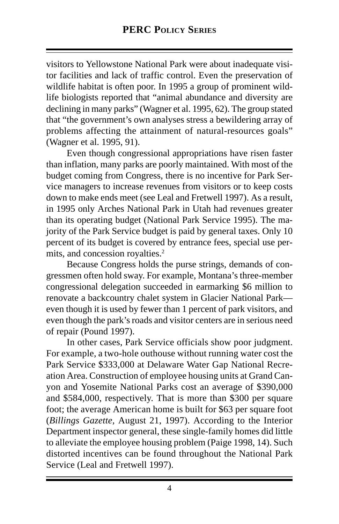visitors to Yellowstone National Park were about inadequate visitor facilities and lack of traffic control. Even the preservation of wildlife habitat is often poor. In 1995 a group of prominent wildlife biologists reported that "animal abundance and diversity are declining in many parks" (Wagner et al. 1995, 62). The group stated that "the government's own analyses stress a bewildering array of problems affecting the attainment of natural-resources goals" (Wagner et al. 1995, 91).

Even though congressional appropriations have risen faster than inflation, many parks are poorly maintained. With most of the budget coming from Congress, there is no incentive for Park Service managers to increase revenues from visitors or to keep costs down to make ends meet (see Leal and Fretwell 1997). As a result, in 1995 only Arches National Park in Utah had revenues greater than its operating budget (National Park Service 1995). The majority of the Park Service budget is paid by general taxes. Only 10 percent of its budget is covered by entrance fees, special use permits, and concession royalties.<sup>2</sup>

Because Congress holds the purse strings, demands of congressmen often hold sway. For example, Montana's three-member congressional delegation succeeded in earmarking \$6 million to renovate a backcountry chalet system in Glacier National Park even though it is used by fewer than 1 percent of park visitors, and even though the park's roads and visitor centers are in serious need of repair (Pound 1997).

In other cases, Park Service officials show poor judgment. For example, a two-hole outhouse without running water cost the Park Service \$333,000 at Delaware Water Gap National Recreation Area. Construction of employee housing units at Grand Canyon and Yosemite National Parks cost an average of \$390,000 and \$584,000, respectively. That is more than \$300 per square foot; the average American home is built for \$63 per square foot (*Billings Gazette,* August 21, 1997). According to the Interior Department inspector general, these single-family homes did little to alleviate the employee housing problem (Paige 1998, 14). Such distorted incentives can be found throughout the National Park Service (Leal and Fretwell 1997).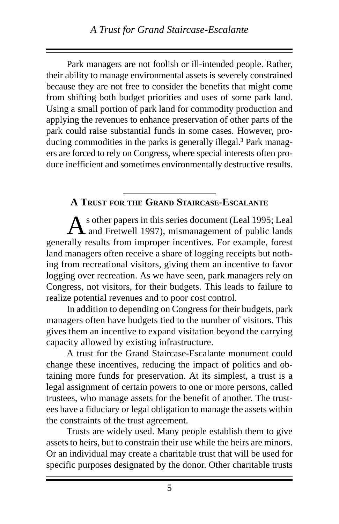Park managers are not foolish or ill-intended people. Rather, their ability to manage environmental assets is severely constrained because they are not free to consider the benefits that might come from shifting both budget priorities and uses of some park land. Using a small portion of park land for commodity production and applying the revenues to enhance preservation of other parts of the park could raise substantial funds in some cases. However, producing commodities in the parks is generally illegal.<sup>3</sup> Park managers are forced to rely on Congress, where special interests often produce inefficient and sometimes environmentally destructive results.

# **A TRUST FOR THE GRAND STAIRCASE-ESCALANTE**

As other papers in this series document (Leal 1995; Leal<br>and Fretwell 1997), mismanagement of public lands generally results from improper incentives. For example, forest land managers often receive a share of logging receipts but nothing from recreational visitors, giving them an incentive to favor logging over recreation. As we have seen, park managers rely on Congress, not visitors, for their budgets. This leads to failure to realize potential revenues and to poor cost control.

In addition to depending on Congress for their budgets, park managers often have budgets tied to the number of visitors. This gives them an incentive to expand visitation beyond the carrying capacity allowed by existing infrastructure.

A trust for the Grand Staircase-Escalante monument could change these incentives, reducing the impact of politics and obtaining more funds for preservation. At its simplest, a trust is a legal assignment of certain powers to one or more persons, called trustees, who manage assets for the benefit of another. The trustees have a fiduciary or legal obligation to manage the assets within the constraints of the trust agreement.

Trusts are widely used. Many people establish them to give assets to heirs, but to constrain their use while the heirs are minors. Or an individual may create a charitable trust that will be used for specific purposes designated by the donor. Other charitable trusts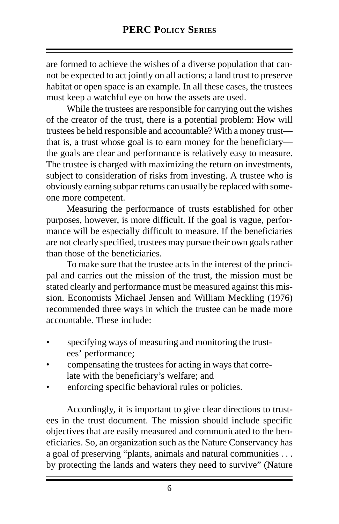are formed to achieve the wishes of a diverse population that cannot be expected to act jointly on all actions; a land trust to preserve habitat or open space is an example. In all these cases, the trustees must keep a watchful eye on how the assets are used.

While the trustees are responsible for carrying out the wishes of the creator of the trust, there is a potential problem: How will trustees be held responsible and accountable? With a money trust that is, a trust whose goal is to earn money for the beneficiary the goals are clear and performance is relatively easy to measure. The trustee is charged with maximizing the return on investments, subject to consideration of risks from investing. A trustee who is obviously earning subpar returns can usually be replaced with someone more competent.

Measuring the performance of trusts established for other purposes, however, is more difficult. If the goal is vague, performance will be especially difficult to measure. If the beneficiaries are not clearly specified, trustees may pursue their own goals rather than those of the beneficiaries.

To make sure that the trustee acts in the interest of the principal and carries out the mission of the trust, the mission must be stated clearly and performance must be measured against this mission. Economists Michael Jensen and William Meckling (1976) recommended three ways in which the trustee can be made more accountable. These include:

- specifying ways of measuring and monitoring the trustees' performance;
- compensating the trustees for acting in ways that correlate with the beneficiary's welfare; and
- enforcing specific behavioral rules or policies.

Accordingly, it is important to give clear directions to trustees in the trust document. The mission should include specific objectives that are easily measured and communicated to the beneficiaries. So, an organization such as the Nature Conservancy has a goal of preserving "plants, animals and natural communities . . . by protecting the lands and waters they need to survive" (Nature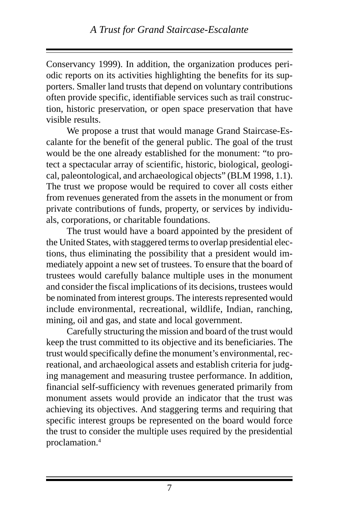Conservancy 1999). In addition, the organization produces periodic reports on its activities highlighting the benefits for its supporters. Smaller land trusts that depend on voluntary contributions often provide specific, identifiable services such as trail construction, historic preservation, or open space preservation that have visible results.

We propose a trust that would manage Grand Staircase-Escalante for the benefit of the general public. The goal of the trust would be the one already established for the monument: "to protect a spectacular array of scientific, historic, biological, geological, paleontological, and archaeological objects" (BLM 1998, 1.1). The trust we propose would be required to cover all costs either from revenues generated from the assets in the monument or from private contributions of funds, property, or services by individuals, corporations, or charitable foundations.

The trust would have a board appointed by the president of the United States, with staggered terms to overlap presidential elections, thus eliminating the possibility that a president would immediately appoint a new set of trustees. To ensure that the board of trustees would carefully balance multiple uses in the monument and consider the fiscal implications of its decisions, trustees would be nominated from interest groups. The interests represented would include environmental, recreational, wildlife, Indian, ranching, mining, oil and gas, and state and local government.

Carefully structuring the mission and board of the trust would keep the trust committed to its objective and its beneficiaries. The trust would specifically define the monument's environmental, recreational, and archaeological assets and establish criteria for judging management and measuring trustee performance. In addition, financial self-sufficiency with revenues generated primarily from monument assets would provide an indicator that the trust was achieving its objectives. And staggering terms and requiring that specific interest groups be represented on the board would force the trust to consider the multiple uses required by the presidential proclamation.4

7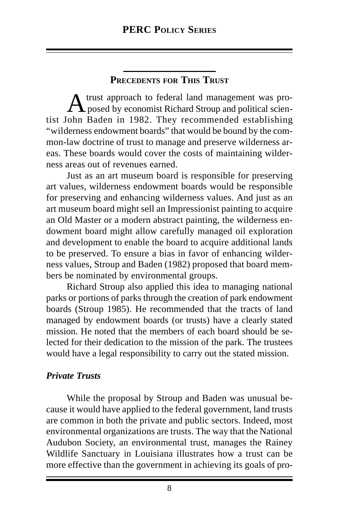#### **PRECEDENTS FOR THIS TRUST**

Atrust approach to federal land management was pro- posed by economist Richard Stroup and political scientist John Baden in 1982. They recommended establishing "wilderness endowment boards" that would be bound by the common-law doctrine of trust to manage and preserve wilderness areas. These boards would cover the costs of maintaining wilderness areas out of revenues earned.

Just as an art museum board is responsible for preserving art values, wilderness endowment boards would be responsible for preserving and enhancing wilderness values. And just as an art museum board might sell an Impressionist painting to acquire an Old Master or a modern abstract painting, the wilderness endowment board might allow carefully managed oil exploration and development to enable the board to acquire additional lands to be preserved. To ensure a bias in favor of enhancing wilderness values, Stroup and Baden (1982) proposed that board members be nominated by environmental groups.

Richard Stroup also applied this idea to managing national parks or portions of parks through the creation of park endowment boards (Stroup 1985). He recommended that the tracts of land managed by endowment boards (or trusts) have a clearly stated mission. He noted that the members of each board should be selected for their dedication to the mission of the park. The trustees would have a legal responsibility to carry out the stated mission.

#### *Private Trusts*

While the proposal by Stroup and Baden was unusual because it would have applied to the federal government, land trusts are common in both the private and public sectors. Indeed, most environmental organizations are trusts. The way that the National Audubon Society, an environmental trust, manages the Rainey Wildlife Sanctuary in Louisiana illustrates how a trust can be more effective than the government in achieving its goals of pro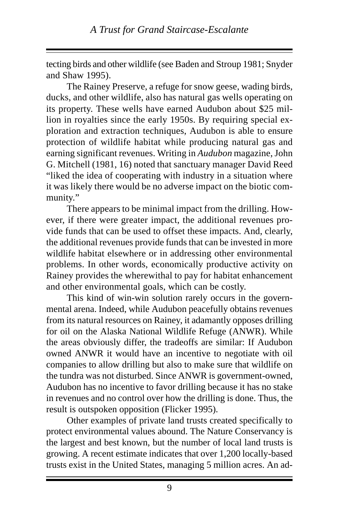tecting birds and other wildlife (see Baden and Stroup 1981; Snyder and Shaw 1995).

The Rainey Preserve, a refuge for snow geese, wading birds, ducks, and other wildlife, also has natural gas wells operating on its property. These wells have earned Audubon about \$25 million in royalties since the early 1950s. By requiring special exploration and extraction techniques, Audubon is able to ensure protection of wildlife habitat while producing natural gas and earning significant revenues. Writing in *Audubon* magazine, John G. Mitchell (1981, 16) noted that sanctuary manager David Reed "liked the idea of cooperating with industry in a situation where it was likely there would be no adverse impact on the biotic community."

There appears to be minimal impact from the drilling. However, if there were greater impact, the additional revenues provide funds that can be used to offset these impacts. And, clearly, the additional revenues provide funds that can be invested in more wildlife habitat elsewhere or in addressing other environmental problems. In other words, economically productive activity on Rainey provides the wherewithal to pay for habitat enhancement and other environmental goals, which can be costly.

This kind of win-win solution rarely occurs in the governmental arena. Indeed, while Audubon peacefully obtains revenues from its natural resources on Rainey, it adamantly opposes drilling for oil on the Alaska National Wildlife Refuge (ANWR). While the areas obviously differ, the tradeoffs are similar: If Audubon owned ANWR it would have an incentive to negotiate with oil companies to allow drilling but also to make sure that wildlife on the tundra was not disturbed. Since ANWR is government-owned, Audubon has no incentive to favor drilling because it has no stake in revenues and no control over how the drilling is done. Thus, the result is outspoken opposition (Flicker 1995).

Other examples of private land trusts created specifically to protect environmental values abound. The Nature Conservancy is the largest and best known, but the number of local land trusts is growing. A recent estimate indicates that over 1,200 locally-based trusts exist in the United States, managing 5 million acres. An ad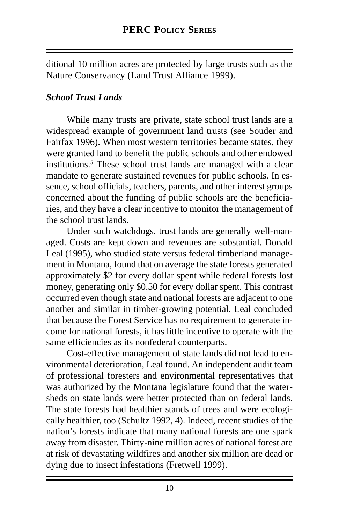ditional 10 million acres are protected by large trusts such as the Nature Conservancy (Land Trust Alliance 1999).

#### *School Trust Lands*

While many trusts are private, state school trust lands are a widespread example of government land trusts (see Souder and Fairfax 1996). When most western territories became states, they were granted land to benefit the public schools and other endowed institutions.5 These school trust lands are managed with a clear mandate to generate sustained revenues for public schools. In essence, school officials, teachers, parents, and other interest groups concerned about the funding of public schools are the beneficiaries, and they have a clear incentive to monitor the management of the school trust lands.

Under such watchdogs, trust lands are generally well-managed. Costs are kept down and revenues are substantial. Donald Leal (1995), who studied state versus federal timberland management in Montana, found that on average the state forests generated approximately \$2 for every dollar spent while federal forests lost money, generating only \$0.50 for every dollar spent. This contrast occurred even though state and national forests are adjacent to one another and similar in timber-growing potential. Leal concluded that because the Forest Service has no requirement to generate income for national forests, it has little incentive to operate with the same efficiencies as its nonfederal counterparts.

Cost-effective management of state lands did not lead to environmental deterioration, Leal found. An independent audit team of professional foresters and environmental representatives that was authorized by the Montana legislature found that the watersheds on state lands were better protected than on federal lands. The state forests had healthier stands of trees and were ecologically healthier, too (Schultz 1992, 4). Indeed, recent studies of the nation's forests indicate that many national forests are one spark away from disaster. Thirty-nine million acres of national forest are at risk of devastating wildfires and another six million are dead or dying due to insect infestations (Fretwell 1999).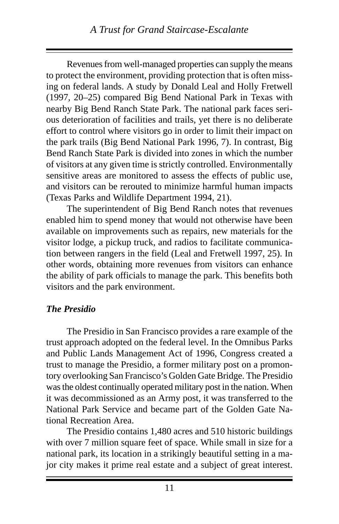Revenues from well-managed properties can supply the means to protect the environment, providing protection that is often missing on federal lands. A study by Donald Leal and Holly Fretwell (1997, 20–25) compared Big Bend National Park in Texas with nearby Big Bend Ranch State Park. The national park faces serious deterioration of facilities and trails, yet there is no deliberate effort to control where visitors go in order to limit their impact on the park trails (Big Bend National Park 1996, 7). In contrast, Big Bend Ranch State Park is divided into zones in which the number of visitors at any given time is strictly controlled. Environmentally sensitive areas are monitored to assess the effects of public use, and visitors can be rerouted to minimize harmful human impacts (Texas Parks and Wildlife Department 1994, 21).

The superintendent of Big Bend Ranch notes that revenues enabled him to spend money that would not otherwise have been available on improvements such as repairs, new materials for the visitor lodge, a pickup truck, and radios to facilitate communication between rangers in the field (Leal and Fretwell 1997, 25). In other words, obtaining more revenues from visitors can enhance the ability of park officials to manage the park. This benefits both visitors and the park environment.

#### *The Presidio*

The Presidio in San Francisco provides a rare example of the trust approach adopted on the federal level. In the Omnibus Parks and Public Lands Management Act of 1996, Congress created a trust to manage the Presidio, a former military post on a promontory overlooking San Francisco's Golden Gate Bridge. The Presidio was the oldest continually operated military post in the nation. When it was decommissioned as an Army post, it was transferred to the National Park Service and became part of the Golden Gate National Recreation Area.

The Presidio contains 1,480 acres and 510 historic buildings with over 7 million square feet of space. While small in size for a national park, its location in a strikingly beautiful setting in a major city makes it prime real estate and a subject of great interest.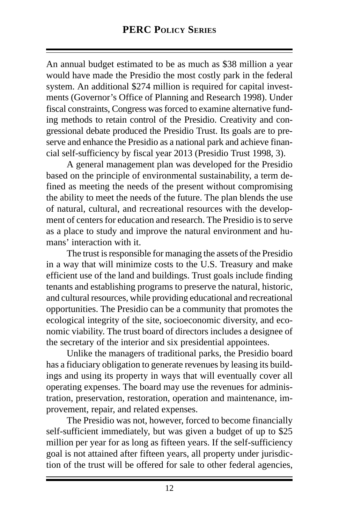An annual budget estimated to be as much as \$38 million a year would have made the Presidio the most costly park in the federal system. An additional \$274 million is required for capital investments (Governor's Office of Planning and Research 1998). Under fiscal constraints, Congress was forced to examine alternative funding methods to retain control of the Presidio. Creativity and congressional debate produced the Presidio Trust. Its goals are to preserve and enhance the Presidio as a national park and achieve financial self-sufficiency by fiscal year 2013 (Presidio Trust 1998, 3).

A general management plan was developed for the Presidio based on the principle of environmental sustainability, a term defined as meeting the needs of the present without compromising the ability to meet the needs of the future. The plan blends the use of natural, cultural, and recreational resources with the development of centers for education and research. The Presidio is to serve as a place to study and improve the natural environment and humans' interaction with it.

The trust is responsible for managing the assets of the Presidio in a way that will minimize costs to the U.S. Treasury and make efficient use of the land and buildings. Trust goals include finding tenants and establishing programs to preserve the natural, historic, and cultural resources, while providing educational and recreational opportunities. The Presidio can be a community that promotes the ecological integrity of the site, socioeconomic diversity, and economic viability. The trust board of directors includes a designee of the secretary of the interior and six presidential appointees.

Unlike the managers of traditional parks, the Presidio board has a fiduciary obligation to generate revenues by leasing its buildings and using its property in ways that will eventually cover all operating expenses. The board may use the revenues for administration, preservation, restoration, operation and maintenance, improvement, repair, and related expenses.

The Presidio was not, however, forced to become financially self-sufficient immediately, but was given a budget of up to \$25 million per year for as long as fifteen years. If the self-sufficiency goal is not attained after fifteen years, all property under jurisdiction of the trust will be offered for sale to other federal agencies,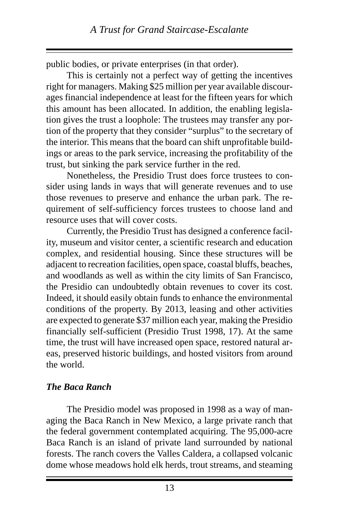public bodies, or private enterprises (in that order).

This is certainly not a perfect way of getting the incentives right for managers. Making \$25 million per year available discourages financial independence at least for the fifteen years for which this amount has been allocated. In addition, the enabling legislation gives the trust a loophole: The trustees may transfer any portion of the property that they consider "surplus" to the secretary of the interior. This means that the board can shift unprofitable buildings or areas to the park service, increasing the profitability of the trust, but sinking the park service further in the red.

Nonetheless, the Presidio Trust does force trustees to consider using lands in ways that will generate revenues and to use those revenues to preserve and enhance the urban park. The requirement of self-sufficiency forces trustees to choose land and resource uses that will cover costs.

Currently, the Presidio Trust has designed a conference facility, museum and visitor center, a scientific research and education complex, and residential housing. Since these structures will be adjacent to recreation facilities, open space, coastal bluffs, beaches, and woodlands as well as within the city limits of San Francisco, the Presidio can undoubtedly obtain revenues to cover its cost. Indeed, it should easily obtain funds to enhance the environmental conditions of the property. By 2013, leasing and other activities are expected to generate \$37 million each year, making the Presidio financially self-sufficient (Presidio Trust 1998, 17). At the same time, the trust will have increased open space, restored natural areas, preserved historic buildings, and hosted visitors from around the world.

# *The Baca Ranch*

The Presidio model was proposed in 1998 as a way of managing the Baca Ranch in New Mexico, a large private ranch that the federal government contemplated acquiring. The 95,000-acre Baca Ranch is an island of private land surrounded by national forests. The ranch covers the Valles Caldera, a collapsed volcanic dome whose meadows hold elk herds, trout streams, and steaming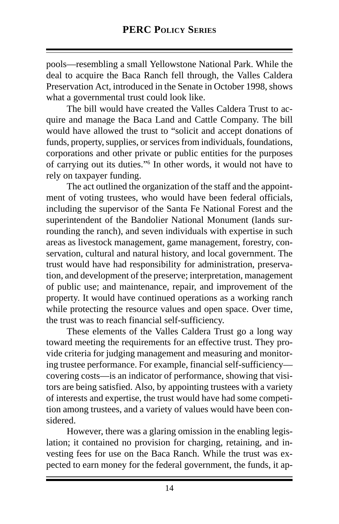pools—resembling a small Yellowstone National Park. While the deal to acquire the Baca Ranch fell through, the Valles Caldera Preservation Act, introduced in the Senate in October 1998, shows what a governmental trust could look like.

The bill would have created the Valles Caldera Trust to acquire and manage the Baca Land and Cattle Company. The bill would have allowed the trust to "solicit and accept donations of funds, property, supplies, or services from individuals, foundations, corporations and other private or public entities for the purposes of carrying out its duties."6 In other words, it would not have to rely on taxpayer funding.

The act outlined the organization of the staff and the appointment of voting trustees, who would have been federal officials, including the supervisor of the Santa Fe National Forest and the superintendent of the Bandolier National Monument (lands surrounding the ranch), and seven individuals with expertise in such areas as livestock management, game management, forestry, conservation, cultural and natural history, and local government. The trust would have had responsibility for administration, preservation, and development of the preserve; interpretation, management of public use; and maintenance, repair, and improvement of the property. It would have continued operations as a working ranch while protecting the resource values and open space. Over time, the trust was to reach financial self-sufficiency.

These elements of the Valles Caldera Trust go a long way toward meeting the requirements for an effective trust. They provide criteria for judging management and measuring and monitoring trustee performance. For example, financial self-sufficiency covering costs—is an indicator of performance, showing that visitors are being satisfied. Also, by appointing trustees with a variety of interests and expertise, the trust would have had some competition among trustees, and a variety of values would have been considered.

However, there was a glaring omission in the enabling legislation; it contained no provision for charging, retaining, and investing fees for use on the Baca Ranch. While the trust was expected to earn money for the federal government, the funds, it ap-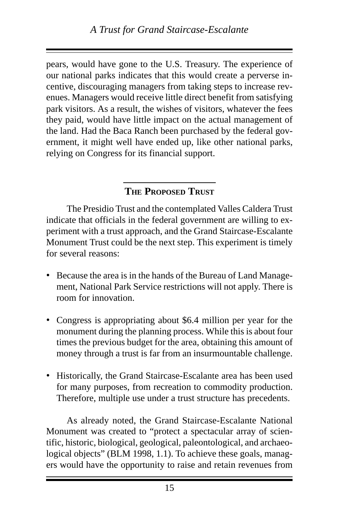pears, would have gone to the U.S. Treasury. The experience of our national parks indicates that this would create a perverse incentive, discouraging managers from taking steps to increase revenues. Managers would receive little direct benefit from satisfying park visitors. As a result, the wishes of visitors, whatever the fees they paid, would have little impact on the actual management of the land. Had the Baca Ranch been purchased by the federal government, it might well have ended up, like other national parks, relying on Congress for its financial support.

# **THE PROPOSED TRUST**

The Presidio Trust and the contemplated Valles Caldera Trust indicate that officials in the federal government are willing to experiment with a trust approach, and the Grand Staircase-Escalante Monument Trust could be the next step. This experiment is timely for several reasons:

- Because the area is in the hands of the Bureau of Land Management, National Park Service restrictions will not apply. There is room for innovation.
- Congress is appropriating about \$6.4 million per year for the monument during the planning process. While this is about four times the previous budget for the area, obtaining this amount of money through a trust is far from an insurmountable challenge.
- Historically, the Grand Staircase-Escalante area has been used for many purposes, from recreation to commodity production. Therefore, multiple use under a trust structure has precedents.

As already noted, the Grand Staircase-Escalante National Monument was created to "protect a spectacular array of scientific, historic, biological, geological, paleontological, and archaeological objects" (BLM 1998, 1.1). To achieve these goals, managers would have the opportunity to raise and retain revenues from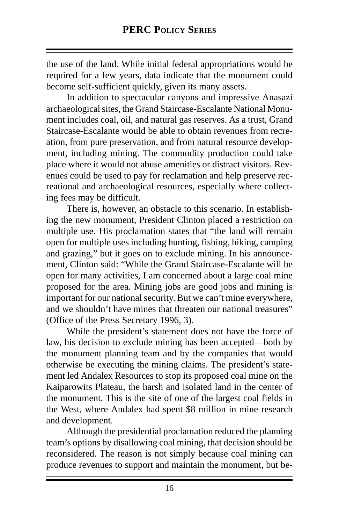the use of the land. While initial federal appropriations would be required for a few years, data indicate that the monument could become self-sufficient quickly, given its many assets.

In addition to spectacular canyons and impressive Anasazi archaeological sites, the Grand Staircase-Escalante National Monument includes coal, oil, and natural gas reserves. As a trust, Grand Staircase-Escalante would be able to obtain revenues from recreation, from pure preservation, and from natural resource development, including mining. The commodity production could take place where it would not abuse amenities or distract visitors. Revenues could be used to pay for reclamation and help preserve recreational and archaeological resources, especially where collecting fees may be difficult.

There is, however, an obstacle to this scenario. In establishing the new monument, President Clinton placed a restriction on multiple use. His proclamation states that "the land will remain open for multiple uses including hunting, fishing, hiking, camping and grazing," but it goes on to exclude mining. In his announcement, Clinton said: "While the Grand Staircase-Escalante will be open for many activities, I am concerned about a large coal mine proposed for the area. Mining jobs are good jobs and mining is important for our national security. But we can't mine everywhere, and we shouldn't have mines that threaten our national treasures" (Office of the Press Secretary 1996, 3).

While the president's statement does not have the force of law, his decision to exclude mining has been accepted—both by the monument planning team and by the companies that would otherwise be executing the mining claims. The president's statement led Andalex Resources to stop its proposed coal mine on the Kaiparowits Plateau, the harsh and isolated land in the center of the monument. This is the site of one of the largest coal fields in the West, where Andalex had spent \$8 million in mine research and development.

Although the presidential proclamation reduced the planning team's options by disallowing coal mining, that decision should be reconsidered. The reason is not simply because coal mining can produce revenues to support and maintain the monument, but be-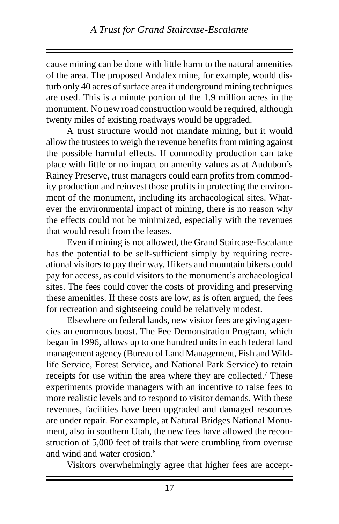cause mining can be done with little harm to the natural amenities of the area. The proposed Andalex mine, for example, would disturb only 40 acres of surface area if underground mining techniques are used. This is a minute portion of the 1.9 million acres in the monument. No new road construction would be required, although twenty miles of existing roadways would be upgraded.

A trust structure would not mandate mining, but it would allow the trustees to weigh the revenue benefits from mining against the possible harmful effects. If commodity production can take place with little or no impact on amenity values as at Audubon's Rainey Preserve, trust managers could earn profits from commodity production and reinvest those profits in protecting the environment of the monument, including its archaeological sites. Whatever the environmental impact of mining, there is no reason why the effects could not be minimized, especially with the revenues that would result from the leases.

Even if mining is not allowed, the Grand Staircase-Escalante has the potential to be self-sufficient simply by requiring recreational visitors to pay their way. Hikers and mountain bikers could pay for access, as could visitors to the monument's archaeological sites. The fees could cover the costs of providing and preserving these amenities. If these costs are low, as is often argued, the fees for recreation and sightseeing could be relatively modest.

Elsewhere on federal lands, new visitor fees are giving agencies an enormous boost. The Fee Demonstration Program, which began in 1996, allows up to one hundred units in each federal land management agency (Bureau of Land Management, Fish and Wildlife Service, Forest Service, and National Park Service) to retain receipts for use within the area where they are collected.<sup>7</sup> These experiments provide managers with an incentive to raise fees to more realistic levels and to respond to visitor demands. With these revenues, facilities have been upgraded and damaged resources are under repair. For example, at Natural Bridges National Monument, also in southern Utah, the new fees have allowed the reconstruction of 5,000 feet of trails that were crumbling from overuse and wind and water erosion.8

Visitors overwhelmingly agree that higher fees are accept-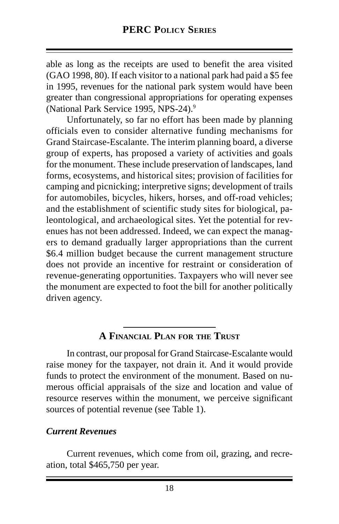able as long as the receipts are used to benefit the area visited (GAO 1998, 80). If each visitor to a national park had paid a \$5 fee in 1995, revenues for the national park system would have been greater than congressional appropriations for operating expenses (National Park Service 1995, NPS-24).9

Unfortunately, so far no effort has been made by planning officials even to consider alternative funding mechanisms for Grand Staircase-Escalante. The interim planning board, a diverse group of experts, has proposed a variety of activities and goals for the monument. These include preservation of landscapes, land forms, ecosystems, and historical sites; provision of facilities for camping and picnicking; interpretive signs; development of trails for automobiles, bicycles, hikers, horses, and off-road vehicles; and the establishment of scientific study sites for biological, paleontological, and archaeological sites. Yet the potential for revenues has not been addressed. Indeed, we can expect the managers to demand gradually larger appropriations than the current \$6.4 million budget because the current management structure does not provide an incentive for restraint or consideration of revenue-generating opportunities. Taxpayers who will never see the monument are expected to foot the bill for another politically driven agency.

# **A FINANCIAL PLAN FOR THE TRUST**

In contrast, our proposal for Grand Staircase-Escalante would raise money for the taxpayer, not drain it. And it would provide funds to protect the environment of the monument. Based on numerous official appraisals of the size and location and value of resource reserves within the monument, we perceive significant sources of potential revenue (see Table 1).

#### *Current Revenues*

Current revenues, which come from oil, grazing, and recreation, total \$465,750 per year.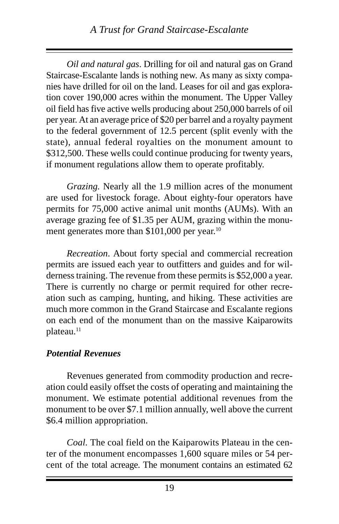*Oil and natural gas*. Drilling for oil and natural gas on Grand Staircase-Escalante lands is nothing new. As many as sixty companies have drilled for oil on the land. Leases for oil and gas exploration cover 190,000 acres within the monument. The Upper Valley oil field has five active wells producing about 250,000 barrels of oil per year. At an average price of \$20 per barrel and a royalty payment to the federal government of 12.5 percent (split evenly with the state), annual federal royalties on the monument amount to \$312,500. These wells could continue producing for twenty years, if monument regulations allow them to operate profitably.

*Grazing.* Nearly all the 1.9 million acres of the monument are used for livestock forage. About eighty-four operators have permits for 75,000 active animal unit months (AUMs). With an average grazing fee of \$1.35 per AUM, grazing within the monument generates more than \$101,000 per year.<sup>10</sup>

*Recreation*. About forty special and commercial recreation permits are issued each year to outfitters and guides and for wilderness training. The revenue from these permits is \$52,000 a year. There is currently no charge or permit required for other recreation such as camping, hunting, and hiking. These activities are much more common in the Grand Staircase and Escalante regions on each end of the monument than on the massive Kaiparowits plateau.<sup>11</sup>

#### *Potential Revenues*

Revenues generated from commodity production and recreation could easily offset the costs of operating and maintaining the monument. We estimate potential additional revenues from the monument to be over \$7.1 million annually, well above the current \$6.4 million appropriation.

*Coal.* The coal field on the Kaiparowits Plateau in the center of the monument encompasses 1,600 square miles or 54 percent of the total acreage. The monument contains an estimated 62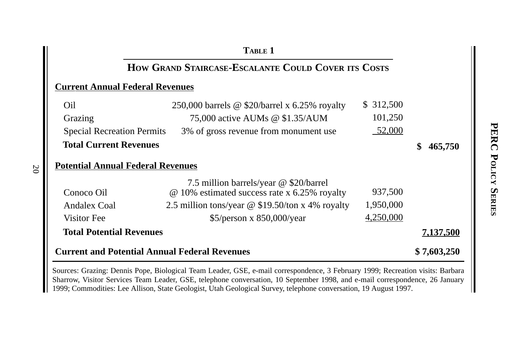|                                                      | TABLE 1                                                 |            |  |  |
|------------------------------------------------------|---------------------------------------------------------|------------|--|--|
| HOW GRAND STAIRCASE-ESCALANTE COULD COVER ITS COSTS  |                                                         |            |  |  |
| <b>Current Annual Federal Revenues</b>               |                                                         |            |  |  |
| Oil                                                  | 250,000 barrels $\omega$ \$20/barrel x 6.25% royalty    | \$ 312,500 |  |  |
| Grazing                                              | 75,000 active AUMs @ \$1.35/AUM                         | 101,250    |  |  |
| <b>Special Recreation Permits</b>                    | 3% of gross revenue from monument use                   | 52,000     |  |  |
| <b>Total Current Revenues</b>                        |                                                         |            |  |  |
| <b>Potential Annual Federal Revenues</b>             |                                                         |            |  |  |
|                                                      | 7.5 million barrels/year @ \$20/barrel                  |            |  |  |
| Conoco Oil                                           | @ 10% estimated success rate x 6.25% royalty            | 937,500    |  |  |
| Andalex Coal                                         | 2.5 million tons/year $\omega$ \$19.50/ton x 4% royalty | 1,950,000  |  |  |
| Visitor Fee                                          | $$5/person \times 850,000/year$                         | 4,250,000  |  |  |
| <b>Total Potential Revenues</b>                      |                                                         |            |  |  |
| <b>Current and Potential Annual Federal Revenues</b> |                                                         |            |  |  |

Sources: Grazing: Dennis Pope, Biological Team Leader, GSE, e-mail correspondence, 3 February 1999; Recreation visits: Barbara Sharrow, Visitor Services Team Leader, GSE, telephone conversation, 10 September 1998, and e-mail correspondence, 26 January 1999; Commodities: Lee Allison, State Geologist, Utah Geological Survey, telephone conversation, 19 August 1997.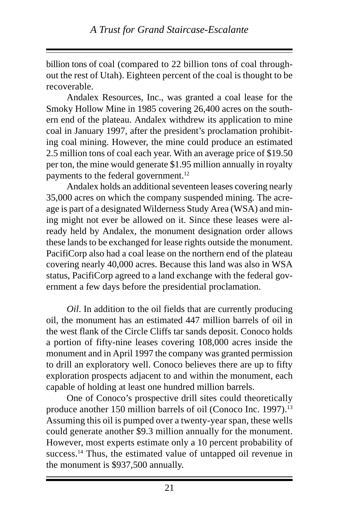billion tons of coal (compared to 22 billion tons of coal throughout the rest of Utah). Eighteen percent of the coal is thought to be recoverable.

Andalex Resources, Inc., was granted a coal lease for the Smoky Hollow Mine in 1985 covering 26,400 acres on the southern end of the plateau. Andalex withdrew its application to mine coal in January 1997, after the president's proclamation prohibiting coal mining. However, the mine could produce an estimated 2.5 million tons of coal each year. With an average price of \$19.50 per ton, the mine would generate \$1.95 million annually in royalty payments to the federal government.<sup>12</sup>

Andalex holds an additional seventeen leases covering nearly 35,000 acres on which the company suspended mining. The acreage is part of a designated Wilderness Study Area (WSA) and mining might not ever be allowed on it. Since these leases were already held by Andalex, the monument designation order allows these lands to be exchanged for lease rights outside the monument. PacifiCorp also had a coal lease on the northern end of the plateau covering nearly 40,000 acres. Because this land was also in WSA status, PacifiCorp agreed to a land exchange with the federal government a few days before the presidential proclamation.

*Oil*. In addition to the oil fields that are currently producing oil, the monument has an estimated 447 million barrels of oil in the west flank of the Circle Cliffs tar sands deposit. Conoco holds a portion of fifty-nine leases covering 108,000 acres inside the monument and in April 1997 the company was granted permission to drill an exploratory well. Conoco believes there are up to fifty exploration prospects adjacent to and within the monument, each capable of holding at least one hundred million barrels.

One of Conoco's prospective drill sites could theoretically produce another 150 million barrels of oil (Conoco Inc. 1997).<sup>13</sup> Assuming this oil is pumped over a twenty-year span, these wells could generate another \$9.3 million annually for the monument. However, most experts estimate only a 10 percent probability of success.<sup>14</sup> Thus, the estimated value of untapped oil revenue in the monument is \$937,500 annually.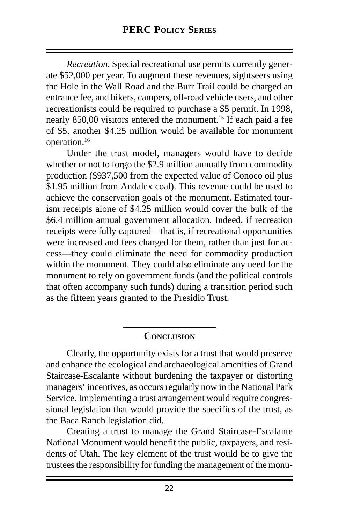*Recreation.* Special recreational use permits currently generate \$52,000 per year. To augment these revenues, sightseers using the Hole in the Wall Road and the Burr Trail could be charged an entrance fee, and hikers, campers, off-road vehicle users, and other recreationists could be required to purchase a \$5 permit. In 1998, nearly 850,00 visitors entered the monument.<sup>15</sup> If each paid a fee of \$5, another \$4.25 million would be available for monument operation.16

Under the trust model, managers would have to decide whether or not to forgo the \$2.9 million annually from commodity production (\$937,500 from the expected value of Conoco oil plus \$1.95 million from Andalex coal). This revenue could be used to achieve the conservation goals of the monument. Estimated tourism receipts alone of \$4.25 million would cover the bulk of the \$6.4 million annual government allocation. Indeed, if recreation receipts were fully captured—that is, if recreational opportunities were increased and fees charged for them, rather than just for access—they could eliminate the need for commodity production within the monument. They could also eliminate any need for the monument to rely on government funds (and the political controls that often accompany such funds) during a transition period such as the fifteen years granted to the Presidio Trust.

#### **CONCLUSION**

Clearly, the opportunity exists for a trust that would preserve and enhance the ecological and archaeological amenities of Grand Staircase-Escalante without burdening the taxpayer or distorting managers' incentives, as occurs regularly now in the National Park Service. Implementing a trust arrangement would require congressional legislation that would provide the specifics of the trust, as the Baca Ranch legislation did.

Creating a trust to manage the Grand Staircase-Escalante National Monument would benefit the public, taxpayers, and residents of Utah. The key element of the trust would be to give the trustees the responsibility for funding the management of the monu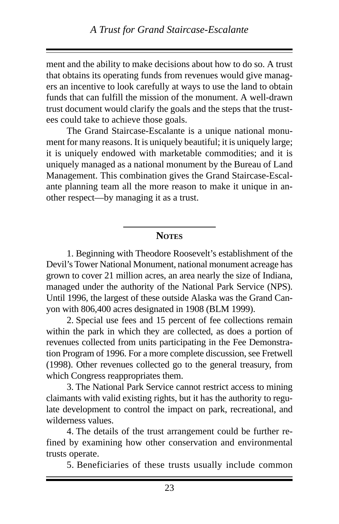ment and the ability to make decisions about how to do so. A trust that obtains its operating funds from revenues would give managers an incentive to look carefully at ways to use the land to obtain funds that can fulfill the mission of the monument. A well-drawn trust document would clarify the goals and the steps that the trustees could take to achieve those goals.

The Grand Staircase-Escalante is a unique national monument for many reasons. It is uniquely beautiful; it is uniquely large; it is uniquely endowed with marketable commodities; and it is uniquely managed as a national monument by the Bureau of Land Management. This combination gives the Grand Staircase-Escalante planning team all the more reason to make it unique in another respect—by managing it as a trust.

# **NOTES**

1. Beginning with Theodore Roosevelt's establishment of the Devil's Tower National Monument, national monument acreage has grown to cover 21 million acres, an area nearly the size of Indiana, managed under the authority of the National Park Service (NPS). Until 1996, the largest of these outside Alaska was the Grand Canyon with 806,400 acres designated in 1908 (BLM 1999).

2. Special use fees and 15 percent of fee collections remain within the park in which they are collected, as does a portion of revenues collected from units participating in the Fee Demonstration Program of 1996. For a more complete discussion, see Fretwell (1998). Other revenues collected go to the general treasury, from which Congress reappropriates them.

3. The National Park Service cannot restrict access to mining claimants with valid existing rights, but it has the authority to regulate development to control the impact on park, recreational, and wilderness values.

4. The details of the trust arrangement could be further refined by examining how other conservation and environmental trusts operate.

5. Beneficiaries of these trusts usually include common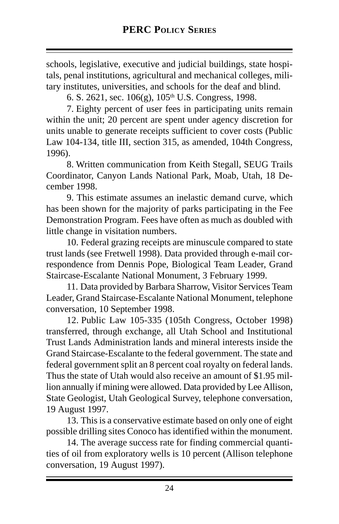schools, legislative, executive and judicial buildings, state hospitals, penal institutions, agricultural and mechanical colleges, military institutes, universities, and schools for the deaf and blind.

6. S. 2621, sec. 106(g), 105th U.S. Congress, 1998.

7. Eighty percent of user fees in participating units remain within the unit; 20 percent are spent under agency discretion for units unable to generate receipts sufficient to cover costs (Public Law 104-134, title III, section 315, as amended, 104th Congress, 1996).

8. Written communication from Keith Stegall, SEUG Trails Coordinator, Canyon Lands National Park, Moab, Utah, 18 December 1998.

9. This estimate assumes an inelastic demand curve, which has been shown for the majority of parks participating in the Fee Demonstration Program. Fees have often as much as doubled with little change in visitation numbers.

10. Federal grazing receipts are minuscule compared to state trust lands (see Fretwell 1998). Data provided through e-mail correspondence from Dennis Pope, Biological Team Leader, Grand Staircase-Escalante National Monument, 3 February 1999.

11. Data provided by Barbara Sharrow, Visitor Services Team Leader, Grand Staircase-Escalante National Monument, telephone conversation, 10 September 1998.

12. Public Law 105-335 (105th Congress, October 1998) transferred, through exchange, all Utah School and Institutional Trust Lands Administration lands and mineral interests inside the Grand Staircase-Escalante to the federal government. The state and federal government split an 8 percent coal royalty on federal lands. Thus the state of Utah would also receive an amount of \$1.95 million annually if mining were allowed. Data provided by Lee Allison, State Geologist, Utah Geological Survey, telephone conversation, 19 August 1997.

13. This is a conservative estimate based on only one of eight possible drilling sites Conoco has identified within the monument.

14. The average success rate for finding commercial quantities of oil from exploratory wells is 10 percent (Allison telephone conversation, 19 August 1997).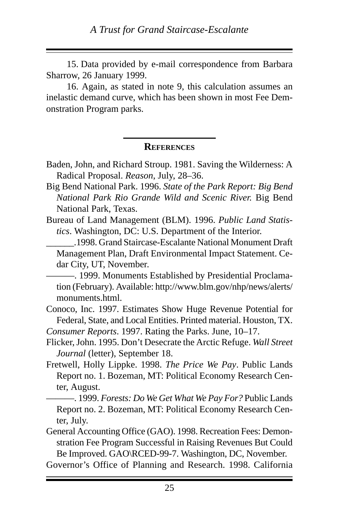15. Data provided by e-mail correspondence from Barbara Sharrow, 26 January 1999.

16. Again, as stated in note 9, this calculation assumes an inelastic demand curve, which has been shown in most Fee Demonstration Program parks.

#### **REFERENCES**

- Baden, John, and Richard Stroup. 1981. Saving the Wilderness: A Radical Proposal. *Reason*, July, 28–36.
- Big Bend National Park. 1996. *State of the Park Report: Big Bend National Park Rio Grande Wild and Scenic River.* Big Bend National Park, Texas.
- Bureau of Land Management (BLM). 1996. *Public Land Statistics*. Washington, DC: U.S. Department of the Interior.

\_\_\_\_\_\_.1998. Grand Staircase-Escalante National Monument Draft Management Plan, Draft Environmental Impact Statement. Cedar City, UT, November.

———. 1999. Monuments Established by Presidential Proclamation (February). Available: http://www.blm.gov/nhp/news/alerts/ monuments.html.

Conoco, Inc. 1997. Estimates Show Huge Revenue Potential for Federal, State, and Local Entities. Printed material. Houston, TX.

*Consumer Reports*. 1997. Rating the Parks. June, 10–17.

- Flicker, John. 1995. Don't Desecrate the Arctic Refuge. *Wall Street Journal* (letter), September 18.
- Fretwell, Holly Lippke. 1998. *The Price We Pay*. Public Lands Report no. 1. Bozeman, MT: Political Economy Research Center, August.

———. 1999. *Forests: Do We Get What We Pay For?* Public Lands Report no. 2. Bozeman, MT: Political Economy Research Center, July.

General Accounting Office (GAO). 1998. Recreation Fees: Demonstration Fee Program Successful in Raising Revenues But Could Be Improved. GAO\RCED-99-7. Washington, DC, November.

Governor's Office of Planning and Research. 1998. California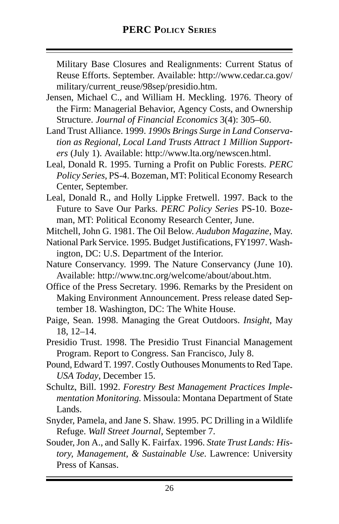Military Base Closures and Realignments: Current Status of Reuse Efforts. September. Available: http://www.cedar.ca.gov/ military/current\_reuse/98sep/presidio.htm.

- Jensen, Michael C., and William H. Meckling. 1976. Theory of the Firm: Managerial Behavior, Agency Costs, and Ownership Structure. *Journal of Financial Economics* 3(4): 305–60.
- Land Trust Alliance. 1999. *1990s Brings Surge in Land Conservation as Regional, Local Land Trusts Attract 1 Million Supporters* (July 1). Available: http://www.lta.org/newscen.html.
- Leal, Donald R. 1995. Turning a Profit on Public Forests. *PERC Policy Series*, PS-4. Bozeman, MT: Political Economy Research Center, September.
- Leal, Donald R., and Holly Lippke Fretwell. 1997. Back to the Future to Save Our Parks. *PERC Policy Series* PS-10. Bozeman, MT: Political Economy Research Center, June.
- Mitchell, John G. 1981. The Oil Below. *Audubon Magazine*, May.
- National Park Service. 1995. Budget Justifications, FY1997. Washington, DC: U.S. Department of the Interior.
- Nature Conservancy. 1999. The Nature Conservancy (June 10). Available: http://www.tnc.org/welcome/about/about.htm.
- Office of the Press Secretary. 1996. Remarks by the President on Making Environment Announcement. Press release dated September 18. Washington, DC: The White House.
- Paige, Sean. 1998. Managing the Great Outdoors. *Insight*, May 18, 12–14.
- Presidio Trust. 1998. The Presidio Trust Financial Management Program. Report to Congress. San Francisco, July 8.
- Pound, Edward T. 1997. Costly Outhouses Monuments to Red Tape. *USA Today*, December 15.
- Schultz, Bill. 1992. *Forestry Best Management Practices Implementation Monitoring.* Missoula: Montana Department of State Lands.
- Snyder, Pamela, and Jane S. Shaw. 1995. PC Drilling in a Wildlife Refuge. *Wall Street Journal*, September 7.
- Souder, Jon A., and Sally K. Fairfax. 1996. *State Trust Lands: History, Management, & Sustainable Use*. Lawrence: University Press of Kansas.